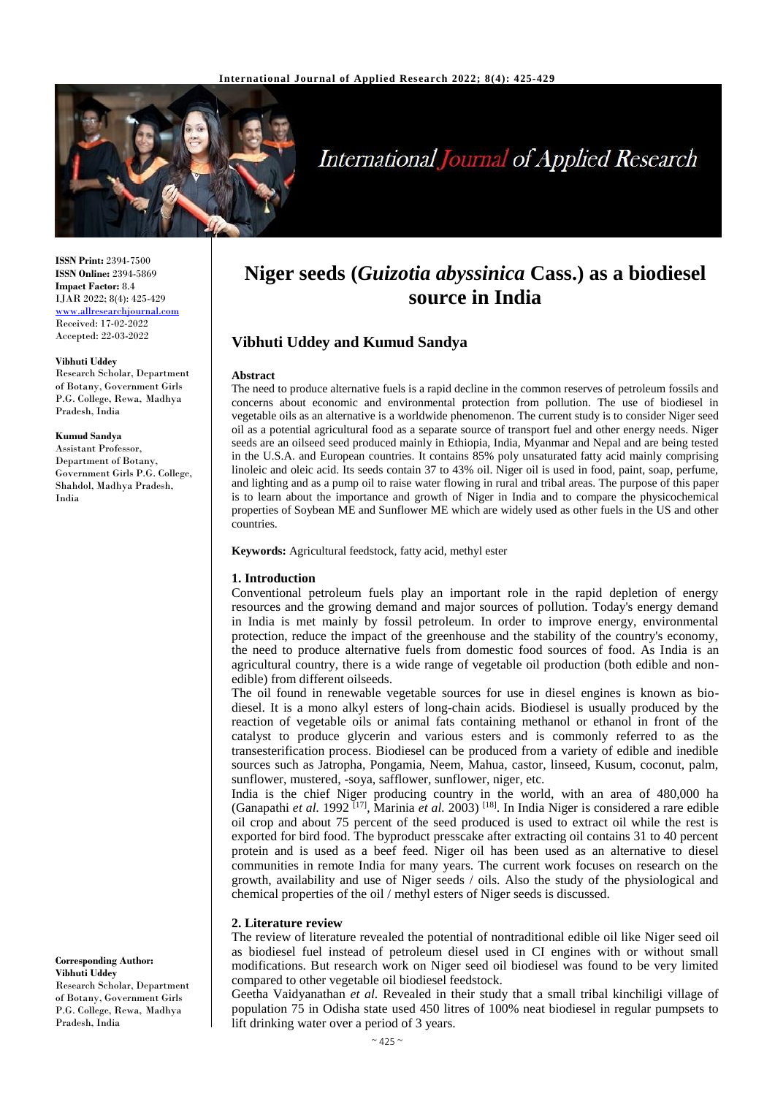

# **International Journal of Applied Research**

**ISSN Print:** 2394-7500 **ISSN Online:** 2394-5869 **Impact Factor:** 8.4 IJAR 2022; 8(4): 425-429 <www.allresearchjournal.com> Received: 17-02-2022 Accepted: 22-03-2022

#### **Vibhuti Uddey**

Research Scholar, Department of Botany, Government Girls P.G. College, Rewa, Madhya Pradesh, India

#### **Kumud Sandya**

Assistant Professor, Department of Botany, Government Girls P.G. College, Shahdol, Madhya Pradesh, India

**Corresponding Author: Vibhuti Uddey**  Research Scholar, Department of Botany, Government Girls P.G. College, Rewa, Madhya Pradesh, India

## **Niger seeds (***Guizotia abyssinica* **Cass.) as a biodiesel source in India**

## **Vibhuti Uddey and Kumud Sandya**

#### **Abstract**

The need to produce alternative fuels is a rapid decline in the common reserves of petroleum fossils and concerns about economic and environmental protection from pollution. The use of biodiesel in vegetable oils as an alternative is a worldwide phenomenon. The current study is to consider Niger seed oil as a potential agricultural food as a separate source of transport fuel and other energy needs. Niger seeds are an oilseed seed produced mainly in Ethiopia, India, Myanmar and Nepal and are being tested in the U.S.A. and European countries. It contains 85% poly unsaturated fatty acid mainly comprising linoleic and oleic acid. Its seeds contain 37 to 43% oil. Niger oil is used in food, paint, soap, perfume, and lighting and as a pump oil to raise water flowing in rural and tribal areas. The purpose of this paper is to learn about the importance and growth of Niger in India and to compare the physicochemical properties of Soybean ME and Sunflower ME which are widely used as other fuels in the US and other countries.

**Keywords:** Agricultural feedstock, fatty acid, methyl ester

#### **1. Introduction**

Conventional petroleum fuels play an important role in the rapid depletion of energy resources and the growing demand and major sources of pollution. Today's energy demand in India is met mainly by fossil petroleum. In order to improve energy, environmental protection, reduce the impact of the greenhouse and the stability of the country's economy, the need to produce alternative fuels from domestic food sources of food. As India is an agricultural country, there is a wide range of vegetable oil production (both edible and nonedible) from different oilseeds.

The oil found in renewable vegetable sources for use in diesel engines is known as biodiesel. It is a mono alkyl esters of long-chain acids. Biodiesel is usually produced by the reaction of vegetable oils or animal fats containing methanol or ethanol in front of the catalyst to produce glycerin and various esters and is commonly referred to as the transesterification process. Biodiesel can be produced from a variety of edible and inedible sources such as Jatropha, Pongamia, Neem, Mahua, castor, linseed, Kusum, coconut, palm, sunflower, mustered, -soya, safflower, sunflower, niger, etc.

India is the chief Niger producing country in the world, with an area of 480,000 ha (Ganapathi *et al.* 1992 [17], Marinia *et al.* 2003) [18]. In India Niger is considered a rare edible oil crop and about 75 percent of the seed produced is used to extract oil while the rest is exported for bird food. The byproduct presscake after extracting oil contains 31 to 40 percent protein and is used as a beef feed. Niger oil has been used as an alternative to diesel communities in remote India for many years. The current work focuses on research on the growth, availability and use of Niger seeds / oils. Also the study of the physiological and chemical properties of the oil / methyl esters of Niger seeds is discussed.

#### **2. Literature review**

The review of literature revealed the potential of nontraditional edible oil like Niger seed oil as biodiesel fuel instead of petroleum diesel used in CI engines with or without small modifications. But research work on Niger seed oil biodiesel was found to be very limited compared to other vegetable oil biodiesel feedstock.

Geetha Vaidyanathan *et al*. Revealed in their study that a small tribal kinchiligi village of population 75 in Odisha state used 450 litres of 100% neat biodiesel in regular pumpsets to lift drinking water over a period of 3 years.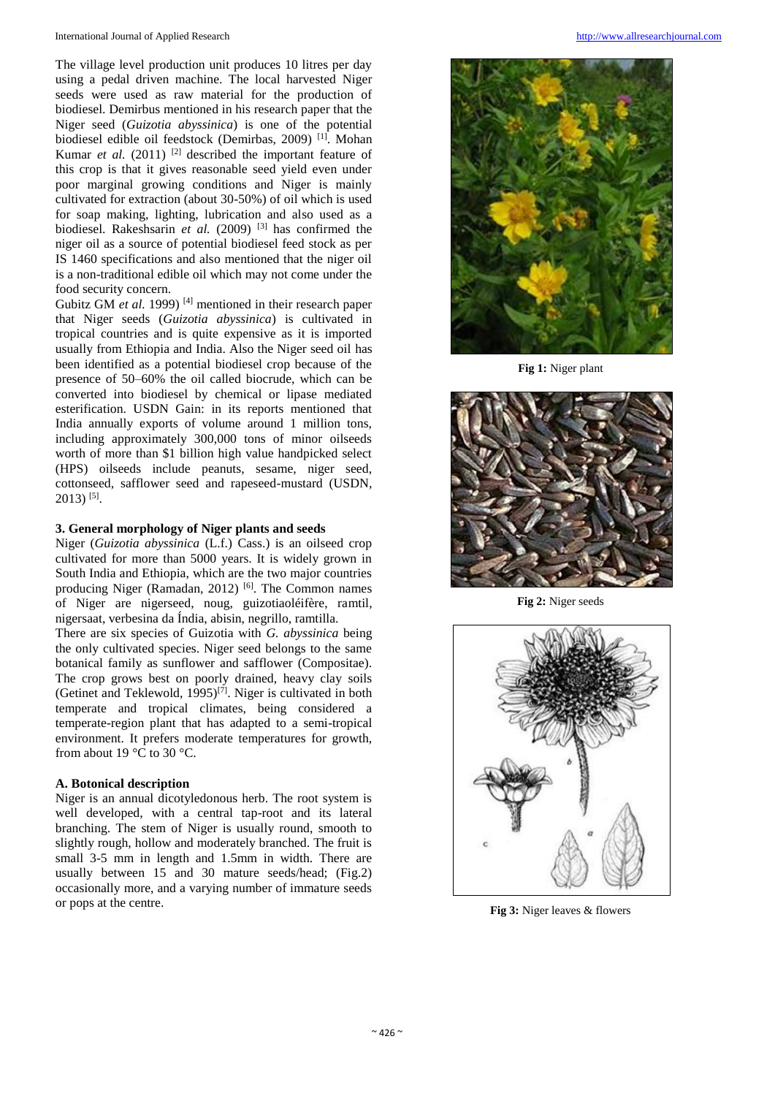The village level production unit produces 10 litres per day using a pedal driven machine. The local harvested Niger seeds were used as raw material for the production of biodiesel. Demirbus mentioned in his research paper that the Niger seed (*Guizotia abyssinica*) is one of the potential biodiesel edible oil feedstock (Demirbas, 2009) [1]. Mohan Kumar *et al.* (2011)<sup>[2]</sup> described the important feature of this crop is that it gives reasonable seed yield even under poor marginal growing conditions and Niger is mainly cultivated for extraction (about 30-50%) of oil which is used for soap making, lighting, lubrication and also used as a biodiesel. Rakeshsarin *et al.* (2009)<sup>[3]</sup> has confirmed the niger oil as a source of potential biodiesel feed stock as per IS 1460 specifications and also mentioned that the niger oil is a non-traditional edible oil which may not come under the food security concern.

Gubitz GM *et al.* 1999)<sup>[4]</sup> mentioned in their research paper that Niger seeds (*Guizotia abyssinica*) is cultivated in tropical countries and is quite expensive as it is imported usually from Ethiopia and India. Also the Niger seed oil has been identified as a potential biodiesel crop because of the presence of 50–60% the oil called biocrude, which can be converted into biodiesel by chemical or lipase mediated esterification. USDN Gain: in its reports mentioned that India annually exports of volume around 1 million tons, including approximately 300,000 tons of minor oilseeds worth of more than \$1 billion high value handpicked select (HPS) oilseeds include peanuts, sesame, niger seed, cottonseed, safflower seed and rapeseed-mustard (USDN,  $2013$ )<sup>[5]</sup>.

## **3. General morphology of Niger plants and seeds**

Niger (*Guizotia abyssinica* (L.f.) Cass.) is an oilseed crop cultivated for more than 5000 years. It is widely grown in South India and Ethiopia, which are the two major countries producing Niger (Ramadan, 2012)  $[6]$ . The Common names of Niger are nigerseed, noug, guizotiaoléifère, ramtil, nigersaat, verbesina da Índia, abisin, negrillo, ramtilla.

There are six species of Guizotia with *G. abyssinica* being the only cultivated species. Niger seed belongs to the same botanical family as sunflower and safflower (Compositae). The crop grows best on poorly drained, heavy clay soils (Getinet and Teklewold,  $1995$ )<sup>[7]</sup>. Niger is cultivated in both temperate and tropical climates, being considered a temperate-region plant that has adapted to a semi-tropical environment. It prefers moderate temperatures for growth, from about 19 $\degree$ C to 30 $\degree$ C.

## **A. Botonical description**

Niger is an annual dicotyledonous herb. The root system is well developed, with a central tap-root and its lateral branching. The stem of Niger is usually round, smooth to slightly rough, hollow and moderately branched. The fruit is small 3-5 mm in length and 1.5mm in width. There are usually between 15 and 30 mature seeds/head; (Fig.2) occasionally more, and a varying number of immature seeds or pops at the centre.



**Fig 1:** Niger plant



**Fig 2:** Niger seeds



**Fig 3:** Niger leaves & flowers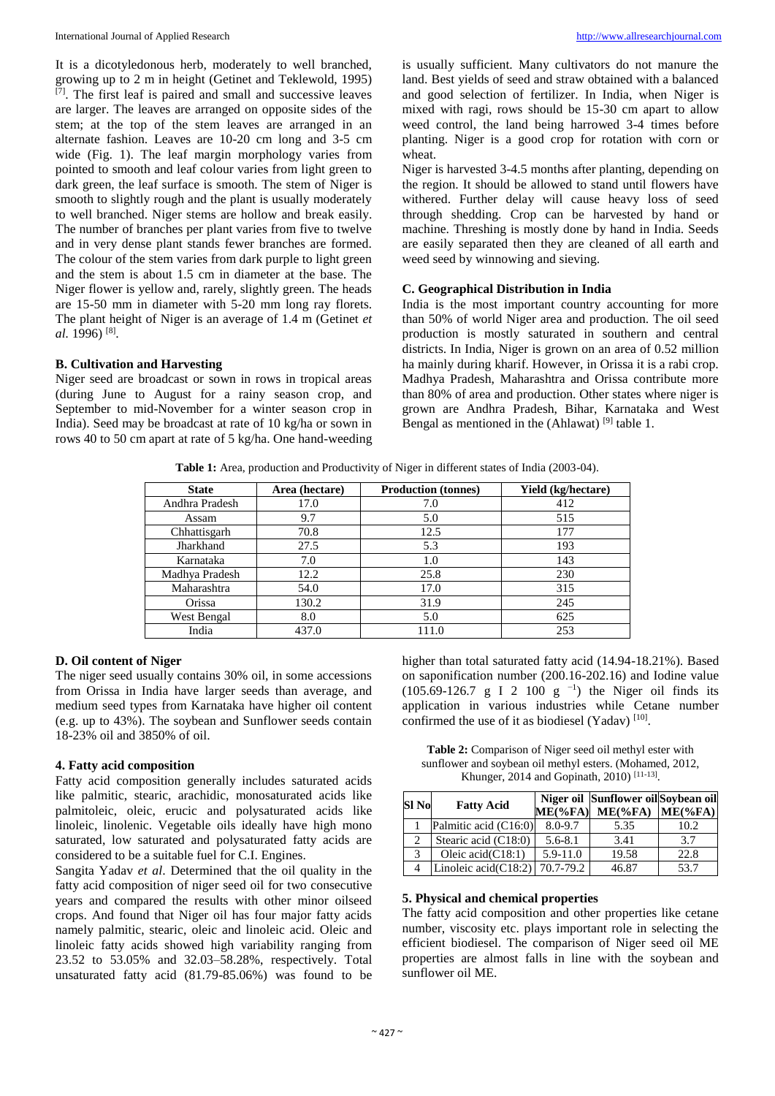It is a dicotyledonous herb, moderately to well branched, growing up to 2 m in height (Getinet and Teklewold, 1995) [7]. The first leaf is paired and small and successive leaves are larger. The leaves are arranged on opposite sides of the stem; at the top of the stem leaves are arranged in an alternate fashion. Leaves are 10-20 cm long and 3-5 cm wide (Fig. 1). The leaf margin morphology varies from pointed to smooth and leaf colour varies from light green to dark green, the leaf surface is smooth. The stem of Niger is smooth to slightly rough and the plant is usually moderately to well branched. Niger stems are hollow and break easily. The number of branches per plant varies from five to twelve and in very dense plant stands fewer branches are formed. The colour of the stem varies from dark purple to light green and the stem is about 1.5 cm in diameter at the base. The Niger flower is yellow and, rarely, slightly green. The heads are 15-50 mm in diameter with 5-20 mm long ray florets. The plant height of Niger is an average of 1.4 m (Getinet *et al.* 1996) [8] .

#### **B. Cultivation and Harvesting**

Niger seed are broadcast or sown in rows in tropical areas (during June to August for a rainy season crop, and September to mid-November for a winter season crop in India). Seed may be broadcast at rate of 10 kg/ha or sown in rows 40 to 50 cm apart at rate of 5 kg/ha. One hand-weeding is usually sufficient. Many cultivators do not manure the land. Best yields of seed and straw obtained with a balanced and good selection of fertilizer. In India, when Niger is mixed with ragi, rows should be 15-30 cm apart to allow weed control, the land being harrowed 3-4 times before planting. Niger is a good crop for rotation with corn or wheat.

Niger is harvested 3-4.5 months after planting, depending on the region. It should be allowed to stand until flowers have withered. Further delay will cause heavy loss of seed through shedding. Crop can be harvested by hand or machine. Threshing is mostly done by hand in India. Seeds are easily separated then they are cleaned of all earth and weed seed by winnowing and sieving.

## **C. Geographical Distribution in India**

India is the most important country accounting for more than 50% of world Niger area and production. The oil seed production is mostly saturated in southern and central districts. In India, Niger is grown on an area of 0.52 million ha mainly during kharif. However, in Orissa it is a rabi crop. Madhya Pradesh, Maharashtra and Orissa contribute more than 80% of area and production. Other states where niger is grown are Andhra Pradesh, Bihar, Karnataka and West Bengal as mentioned in the (Ahlawat)  $^{[9]}$  table 1.

**Table 1:** Area, production and Productivity of Niger in different states of India (2003-04).

| <b>State</b>   | Area (hectare) | <b>Production (tonnes)</b> | <b>Yield</b> (kg/hectare) |
|----------------|----------------|----------------------------|---------------------------|
| Andhra Pradesh | 17.0           | 7.0                        | 412                       |
| Assam          | 9.7            | 5.0                        | 515                       |
| Chhattisgarh   | 70.8           | 12.5                       | 177                       |
| Jharkhand      | 27.5           | 5.3                        | 193                       |
| Karnataka      | 7.0            | 1.0                        | 143                       |
| Madhya Pradesh | 12.2           | 25.8                       | 230                       |
| Maharashtra    | 54.0           | 17.0                       | 315                       |
| Orissa         | 130.2          | 31.9                       | 245                       |
| West Bengal    | 8.0            | 5.0                        | 625                       |
| India          | 437.0          | 111.0                      | 253                       |

## **D. Oil content of Niger**

The niger seed usually contains 30% oil, in some accessions from Orissa in India have larger seeds than average, and medium seed types from Karnataka have higher oil content (e.g. up to 43%). The soybean and Sunflower seeds contain 18-23% oil and 3850% of oil.

#### **4. Fatty acid composition**

Fatty acid composition generally includes saturated acids like palmitic, stearic, arachidic, monosaturated acids like palmitoleic, oleic, erucic and polysaturated acids like linoleic, linolenic. Vegetable oils ideally have high mono saturated, low saturated and polysaturated fatty acids are considered to be a suitable fuel for C.I. Engines.

Sangita Yadav *et al*. Determined that the oil quality in the fatty acid composition of niger seed oil for two consecutive years and compared the results with other minor oilseed crops. And found that Niger oil has four major fatty acids namely palmitic, stearic, oleic and linoleic acid. Oleic and linoleic fatty acids showed high variability ranging from 23.52 to 53.05% and 32.03–58.28%, respectively. Total unsaturated fatty acid (81.79-85.06%) was found to be higher than total saturated fatty acid (14.94-18.21%). Based on saponification number (200.16-202.16) and Iodine value  $(105.69-126.7 \text{ g} I 2 100 \text{ g}^{-1})$  the Niger oil finds its application in various industries while Cetane number confirmed the use of it as biodiesel (Yadav)  $[10]$ .

**Table 2:** Comparison of Niger seed oil methyl ester with sunflower and soybean oil methyl esters. (Mohamed, 2012, Khunger, 2014 and Gopinath, 2010)<sup>[11-13]</sup>.

| Sl No                       | <b>Fatty Acid</b>                    | $ME(\%FA)$   | Niger oil Sunflower oil Sovbean oil<br>$ME$ (%FA) | $ME(\%FA)$ |
|-----------------------------|--------------------------------------|--------------|---------------------------------------------------|------------|
|                             | Palmitic acid (C16:0)                | 8.0-9.7      | 5.35                                              | 10.2       |
| $\mathcal{D}_{\mathcal{L}}$ | Stearic acid (C18:0)                 | $5.6 - 8.1$  | 3.41                                              | 3.7        |
| 3                           | Oleic acid $(C18:1)$                 | $5.9 - 11.0$ | 19.58                                             | 22.8       |
|                             | Linoleic acid(C18:2) $  70.7 - 79.2$ |              | 46.87                                             | 53.7       |

#### **5. Physical and chemical properties**

The fatty acid composition and other properties like cetane number, viscosity etc. plays important role in selecting the efficient biodiesel. The comparison of Niger seed oil ME properties are almost falls in line with the soybean and sunflower oil ME.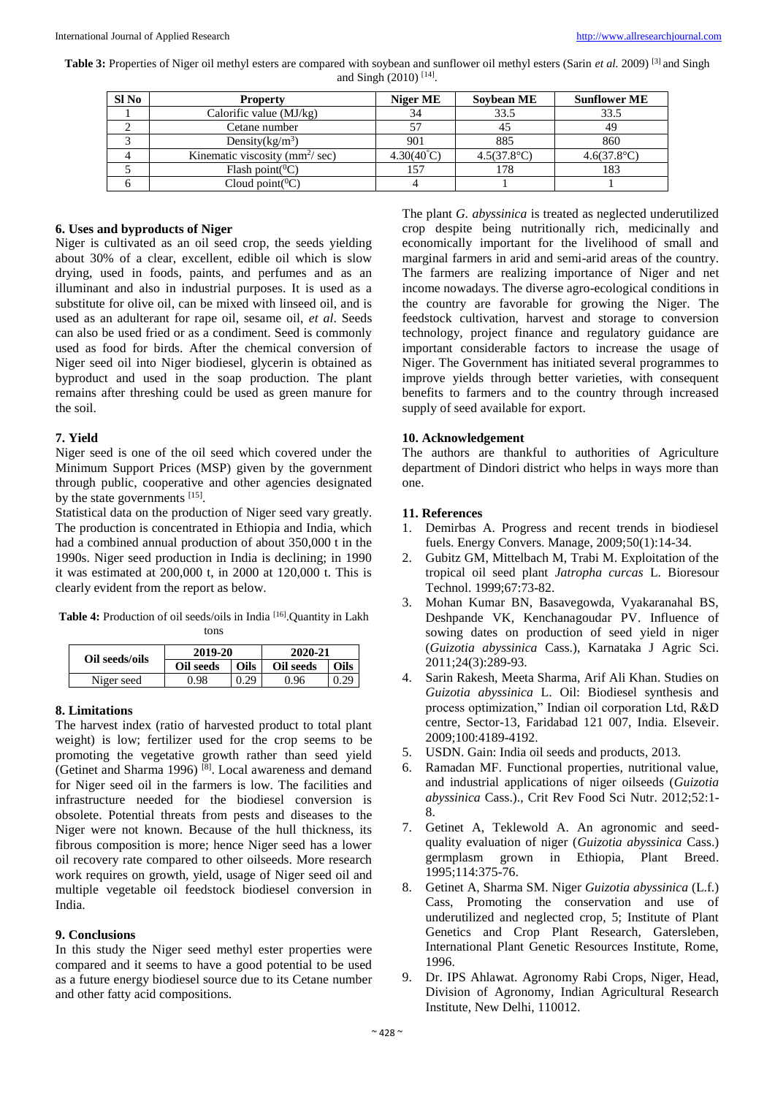Table 3: Properties of Niger oil methyl esters are compared with soybean and sunflower oil methyl esters (Sarin *et al.* 2009)<sup>[3]</sup> and Singh and Singh (2010)<sup>[14]</sup>.

| Sl No | <b>Property</b>                     | Niger ME            | Sovbean ME           | <b>Sunflower ME</b>  |
|-------|-------------------------------------|---------------------|----------------------|----------------------|
|       | Calorific value $(MJ/kg)$           | 34                  | 33.5                 | 33.5                 |
|       | Cetane number                       |                     |                      | 49                   |
|       | Density $(kg/m^3)$                  | 901                 | 885                  | 860                  |
|       | Kinematic viscosity ( $mm^2$ / sec) | $4.30(40^{\circ}C)$ | $4.5(37.8^{\circ}C)$ | $4.6(37.8^{\circ}C)$ |
|       | Flash point( ${}^0C$ )              | 157                 | 178                  | 183                  |
|       | Cloud point( ${}^{0}C$ )            |                     |                      |                      |

#### **6. Uses and byproducts of Niger**

Niger is cultivated as an oil seed crop, the seeds yielding about 30% of a clear, excellent, edible oil which is slow drying, used in foods, paints, and perfumes and as an illuminant and also in industrial purposes. It is used as a substitute for olive oil, can be mixed with linseed oil, and is used as an adulterant for rape oil, sesame oil, *et al*. Seeds can also be used fried or as a condiment. Seed is commonly used as food for birds. After the chemical conversion of Niger seed oil into Niger biodiesel, glycerin is obtained as byproduct and used in the soap production. The plant remains after threshing could be used as green manure for the soil.

#### **7. Yield**

Niger seed is one of the oil seed which covered under the Minimum Support Prices (MSP) given by the government through public, cooperative and other agencies designated by the state governments [15].

Statistical data on the production of Niger seed vary greatly. The production is concentrated in Ethiopia and India, which had a combined annual production of about 350,000 t in the 1990s. Niger seed production in India is declining; in 1990 it was estimated at 200,000 t, in 2000 at 120,000 t. This is clearly evident from the report as below.

**Table 4:** Production of oil seeds/oils in India [16].Quantity in Lakh tons

| Oil seeds/oils | 2019-20   |             | 2020-21   |      |
|----------------|-----------|-------------|-----------|------|
|                | Oil seeds | <b>Oils</b> | Oil seeds | Oils |
| Niger seed     | 0.98      | 0.29        | 0.96      | ስ ንዕ |

## **8. Limitations**

The harvest index (ratio of harvested product to total plant weight) is low; fertilizer used for the crop seems to be promoting the vegetative growth rather than seed yield (Getinet and Sharma 1996) [8]. Local awareness and demand for Niger seed oil in the farmers is low. The facilities and infrastructure needed for the biodiesel conversion is obsolete. Potential threats from pests and diseases to the Niger were not known. Because of the hull thickness, its fibrous composition is more; hence Niger seed has a lower oil recovery rate compared to other oilseeds. More research work requires on growth, yield, usage of Niger seed oil and multiple vegetable oil feedstock biodiesel conversion in India.

#### **9. Conclusions**

In this study the Niger seed methyl ester properties were compared and it seems to have a good potential to be used as a future energy biodiesel source due to its Cetane number and other fatty acid compositions.

The plant *G. abyssinica* is treated as neglected underutilized crop despite being nutritionally rich, medicinally and economically important for the livelihood of small and marginal farmers in arid and semi-arid areas of the country. The farmers are realizing importance of Niger and net income nowadays. The diverse agro-ecological conditions in the country are favorable for growing the Niger. The feedstock cultivation, harvest and storage to conversion technology, project finance and regulatory guidance are important considerable factors to increase the usage of Niger. The Government has initiated several programmes to improve yields through better varieties, with consequent benefits to farmers and to the country through increased supply of seed available for export.

#### **10. Acknowledgement**

The authors are thankful to authorities of Agriculture department of Dindori district who helps in ways more than one.

#### **11. References**

- 1. Demirbas A. Progress and recent trends in biodiesel fuels. Energy Convers. Manage, 2009;50(1):14-34.
- 2. Gubitz GM, Mittelbach M, Trabi M. Exploitation of the tropical oil seed plant *Jatropha curcas* L. Bioresour Technol. 1999;67:73-82.
- 3. Mohan Kumar BN, Basavegowda, Vyakaranahal BS, Deshpande VK, Kenchanagoudar PV. Influence of sowing dates on production of seed yield in niger (*Guizotia abyssinica* Cass.), Karnataka J Agric Sci. 2011;24(3):289-93.
- 4. Sarin Rakesh, Meeta Sharma, Arif Ali Khan. Studies on *Guizotia abyssinica* L. Oil: Biodiesel synthesis and process optimization," Indian oil corporation Ltd, R&D centre, Sector-13, Faridabad 121 007, India. Elseveir. 2009;100:4189-4192.
- 5. USDN. Gain: India oil seeds and products, 2013.
- 6. Ramadan MF. Functional properties, nutritional value, and industrial applications of niger oilseeds (*Guizotia abyssinica* Cass.)., Crit Rev Food Sci Nutr. 2012;52:1- 8.
- 7. Getinet A, Teklewold A. An agronomic and seedquality evaluation of niger (*Guizotia abyssinica* Cass.) germplasm grown in Ethiopia, Plant Breed. 1995;114:375-76.
- 8. Getinet A, Sharma SM. Niger *Guizotia abyssinica* (L.f.) Cass, Promoting the conservation and use of underutilized and neglected crop, 5; Institute of Plant Genetics and Crop Plant Research, Gatersleben, International Plant Genetic Resources Institute, Rome, 1996.
- 9. Dr. IPS Ahlawat. Agronomy Rabi Crops, Niger, Head, Division of Agronomy, Indian Agricultural Research Institute, New Delhi, 110012.